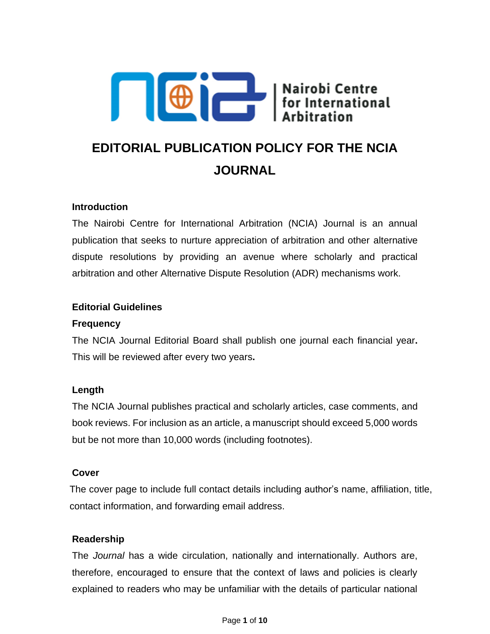

# **EDITORIAL PUBLICATION POLICY FOR THE NCIA JOURNAL**

#### **Introduction**

The Nairobi Centre for International Arbitration (NCIA) Journal is an annual publication that seeks to nurture appreciation of arbitration and other alternative dispute resolutions by providing an avenue where scholarly and practical arbitration and other Alternative Dispute Resolution (ADR) mechanisms work.

#### **Editorial Guidelines**

#### **Frequency**

The NCIA Journal Editorial Board shall publish one journal each financial year**.**  This will be reviewed after every two years**.** 

# **Length**

The NCIA Journal publishes practical and scholarly articles, case comments, and book reviews. For inclusion as an article, a manuscript should exceed 5,000 words but be not more than 10,000 words (including footnotes).

#### **Cover**

The cover page to include full contact details including author's name, affiliation, title, contact information, and forwarding email address.

#### **Readership**

The *Journal* has a wide circulation, nationally and internationally. Authors are, therefore, encouraged to ensure that the context of laws and policies is clearly explained to readers who may be unfamiliar with the details of particular national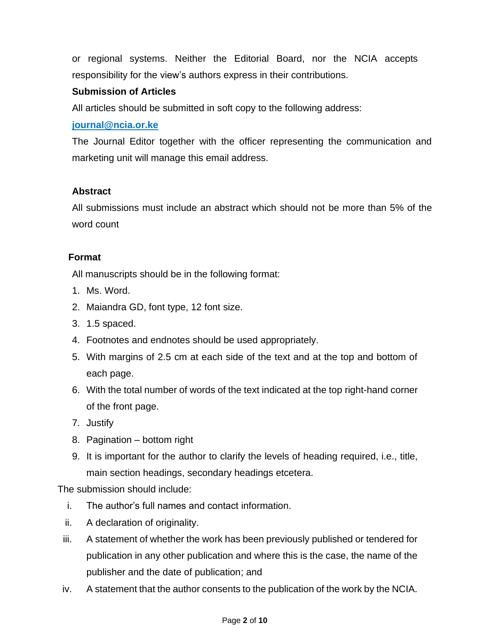or regional systems. Neither the Editorial Board, nor the NCIA accepts responsibility for the view's authors express in their contributions.

# **Submission of Articles**

All articles should be submitted in soft copy to the following address:

# **[journal@ncia.or.ke](mailto:journal@ncia.or.ke)**

The Journal Editor together with the officer representing the communication and marketing unit will manage this email address.

# **Abstract**

All submissions must include an abstract which should not be more than 5% of the word count

# **Format**

All manuscripts should be in the following format:

- 1. Ms. Word.
- 2. Maiandra GD, font type, 12 font size.
- 3. 1.5 spaced.
- 4. Footnotes and endnotes should be used appropriately.
- 5. With margins of 2.5 cm at each side of the text and at the top and bottom of each page.
- 6. With the total number of words of the text indicated at the top right-hand corner of the front page.
- 7. Justify
- 8. Pagination bottom right
- 9. It is important for the author to clarify the levels of heading required, i.e., title, main section headings, secondary headings etcetera.

The submission should include:

- i. The author's full names and contact information.
- ii. A declaration of originality.
- iii. A statement of whether the work has been previously published or tendered for publication in any other publication and where this is the case, the name of the publisher and the date of publication; and
- iv. A statement that the author consents to the publication of the work by the NCIA.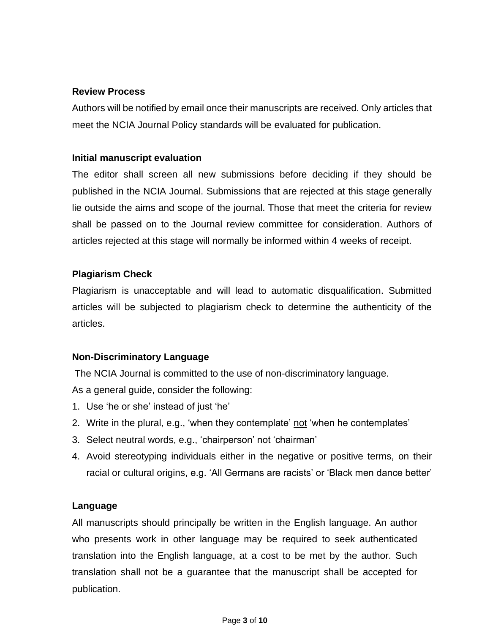#### **Review Process**

Authors will be notified by email once their manuscripts are received. Only articles that meet the NCIA Journal Policy standards will be evaluated for publication.

#### **Initial manuscript evaluation**

The editor shall screen all new submissions before deciding if they should be published in the NCIA Journal. Submissions that are rejected at this stage generally lie outside the aims and scope of the journal. Those that meet the criteria for review shall be passed on to the Journal review committee for consideration. Authors of articles rejected at this stage will normally be informed within 4 weeks of receipt.

# **Plagiarism Check**

Plagiarism is unacceptable and will lead to automatic disqualification. Submitted articles will be subjected to plagiarism check to determine the authenticity of the articles.

# **Non-Discriminatory Language**

The NCIA Journal is committed to the use of non-discriminatory language.

As a general guide, consider the following:

- 1. Use 'he or she' instead of just 'he'
- 2. Write in the plural, e.g., 'when they contemplate' not 'when he contemplates'
- 3. Select neutral words, e.g., 'chairperson' not 'chairman'
- 4. Avoid stereotyping individuals either in the negative or positive terms, on their racial or cultural origins, e.g. 'All Germans are racists' or 'Black men dance better'

#### **Language**

All manuscripts should principally be written in the English language. An author who presents work in other language may be required to seek authenticated translation into the English language, at a cost to be met by the author. Such translation shall not be a guarantee that the manuscript shall be accepted for publication.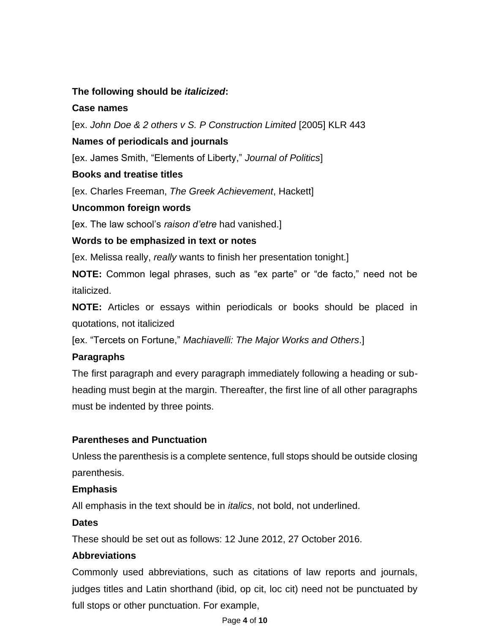## **The following should be** *italicized***:**

#### **Case names**

[ex. *John Doe & 2 others v S. P Construction Limited* [2005] KLR 443

#### **Names of periodicals and journals**

[ex. James Smith, "Elements of Liberty," *Journal of Politics*]

#### **Books and treatise titles**

[ex. Charles Freeman, *The Greek Achievement*, Hackett]

#### **Uncommon foreign words**

[ex. The law school's *raison d'etre* had vanished.]

#### **Words to be emphasized in text or notes**

[ex. Melissa really, *really* wants to finish her presentation tonight.]

**NOTE:** Common legal phrases, such as "ex parte" or "de facto," need not be italicized.

**NOTE:** Articles or essays within periodicals or books should be placed in quotations, not italicized

[ex. "Tercets on Fortune," *Machiavelli: The Major Works and Others*.]

# **Paragraphs**

The first paragraph and every paragraph immediately following a heading or subheading must begin at the margin. Thereafter, the first line of all other paragraphs must be indented by three points.

# **Parentheses and Punctuation**

Unless the parenthesis is a complete sentence, full stops should be outside closing parenthesis.

#### **Emphasis**

All emphasis in the text should be in *italics*, not bold, not underlined.

#### **Dates**

These should be set out as follows: 12 June 2012, 27 October 2016.

# **Abbreviations**

Commonly used abbreviations, such as citations of law reports and journals, judges titles and Latin shorthand (ibid, op cit, loc cit) need not be punctuated by full stops or other punctuation. For example,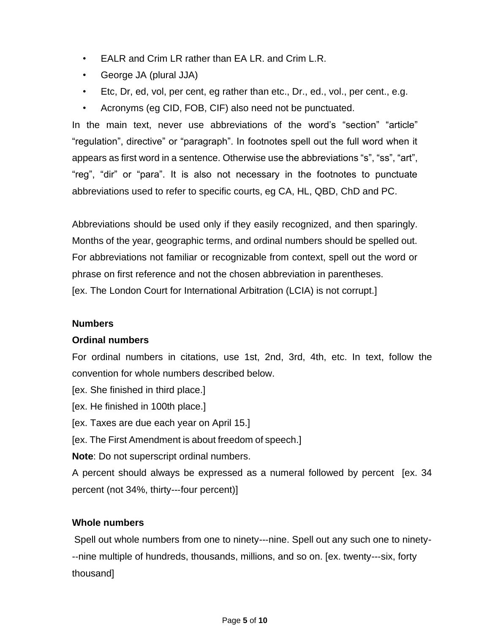- EALR and Crim LR rather than EA LR. and Crim L.R.
- George JA (plural JJA)
- Etc, Dr, ed, vol, per cent, eg rather than etc., Dr., ed., vol., per cent., e.g.
- Acronyms (eg CID, FOB, CIF) also need not be punctuated.

In the main text, never use abbreviations of the word's "section" "article" "regulation", directive" or "paragraph". In footnotes spell out the full word when it appears as first word in a sentence. Otherwise use the abbreviations "s", "ss", "art", "reg", "dir" or "para". It is also not necessary in the footnotes to punctuate abbreviations used to refer to specific courts, eg CA, HL, QBD, ChD and PC.

Abbreviations should be used only if they easily recognized, and then sparingly. Months of the year, geographic terms, and ordinal numbers should be spelled out. For abbreviations not familiar or recognizable from context, spell out the word or phrase on first reference and not the chosen abbreviation in parentheses. [ex. The London Court for International Arbitration (LCIA) is not corrupt.]

#### **Numbers**

#### **Ordinal numbers**

For ordinal numbers in citations, use 1st, 2nd, 3rd, 4th, etc. In text, follow the convention for whole numbers described below.

- [ex. She finished in third place.]
- [ex. He finished in 100th place.]
- [ex. Taxes are due each year on April 15.]
- [ex. The First Amendment is about freedom of speech.]

**Note**: Do not superscript ordinal numbers.

A percent should always be expressed as a numeral followed by percent [ex. 34 percent (not 34%, thirty--‐four percent)]

# **Whole numbers**

Spell out whole numbers from one to ninety--‐nine. Spell out any such one to ninety- -‐nine multiple of hundreds, thousands, millions, and so on. [ex. twenty--‐six, forty thousand]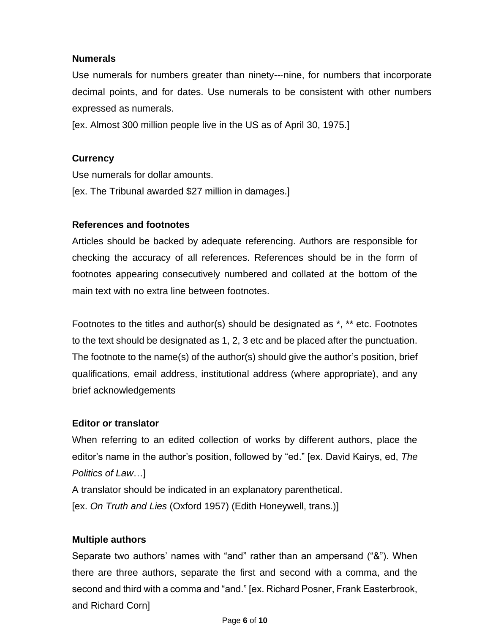#### **Numerals**

Use numerals for numbers greater than ninety--‐nine, for numbers that incorporate decimal points, and for dates. Use numerals to be consistent with other numbers expressed as numerals.

[ex. Almost 300 million people live in the US as of April 30, 1975.]

# **Currency**

Use numerals for dollar amounts. [ex. The Tribunal awarded \$27 million in damages.]

# **References and footnotes**

Articles should be backed by adequate referencing. Authors are responsible for checking the accuracy of all references. References should be in the form of footnotes appearing consecutively numbered and collated at the bottom of the main text with no extra line between footnotes.

Footnotes to the titles and author(s) should be designated as \*, \*\* etc. Footnotes to the text should be designated as 1, 2, 3 etc and be placed after the punctuation. The footnote to the name(s) of the author(s) should give the author's position, brief qualifications, email address, institutional address (where appropriate), and any brief acknowledgements

# **Editor or translator**

When referring to an edited collection of works by different authors, place the editor's name in the author's position, followed by "ed." [ex. David Kairys, ed, *The Politics of Law*…]

A translator should be indicated in an explanatory parenthetical.

[ex. *On Truth and Lies* (Oxford 1957) (Edith Honeywell, trans.)]

# **Multiple authors**

Separate two authors' names with "and" rather than an ampersand ("&"). When there are three authors, separate the first and second with a comma, and the second and third with a comma and "and." [ex. Richard Posner, Frank Easterbrook, and Richard Corn]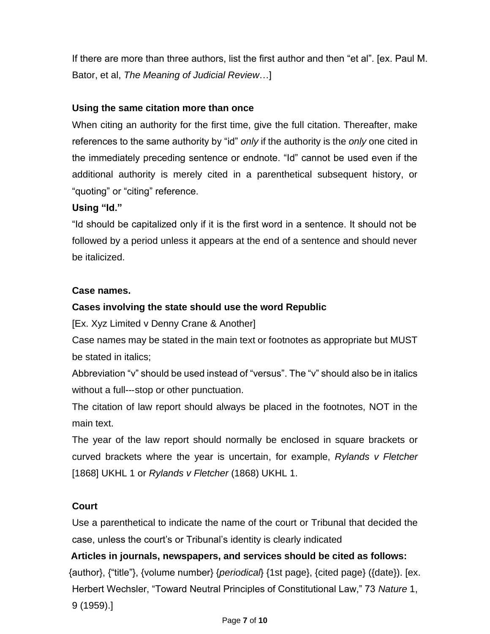If there are more than three authors, list the first author and then "et al". [ex. Paul M. Bator, et al, *The Meaning of Judicial Review*…]

# **Using the same citation more than once**

When citing an authority for the first time, give the full citation. Thereafter, make references to the same authority by "id" *only* if the authority is the *only* one cited in the immediately preceding sentence or endnote. "Id" cannot be used even if the additional authority is merely cited in a parenthetical subsequent history, or "quoting" or "citing" reference.

#### **Using "Id."**

"Id should be capitalized only if it is the first word in a sentence. It should not be followed by a period unless it appears at the end of a sentence and should never be italicized.

#### **Case names.**

# **Cases involving the state should use the word Republic**

[Ex. Xyz Limited v Denny Crane & Another]

Case names may be stated in the main text or footnotes as appropriate but MUST be stated in italics;

Abbreviation "v" should be used instead of "versus". The "v" should also be in italics without a full--‐stop or other punctuation.

The citation of law report should always be placed in the footnotes, NOT in the main text.

The year of the law report should normally be enclosed in square brackets or curved brackets where the year is uncertain, for example, *Rylands v Fletcher* [1868] UKHL 1 or *Rylands v Fletcher* (1868) UKHL 1.

# **Court**

Use a parenthetical to indicate the name of the court or Tribunal that decided the case, unless the court's or Tribunal's identity is clearly indicated

# **Articles in journals, newspapers, and services should be cited as follows:** {author}, {"title"}, {volume number} {*periodical*} {1st page}, {cited page} ({date}). [ex. Herbert Wechsler, "Toward Neutral Principles of Constitutional Law," 73 *Nature* 1, 9 (1959).]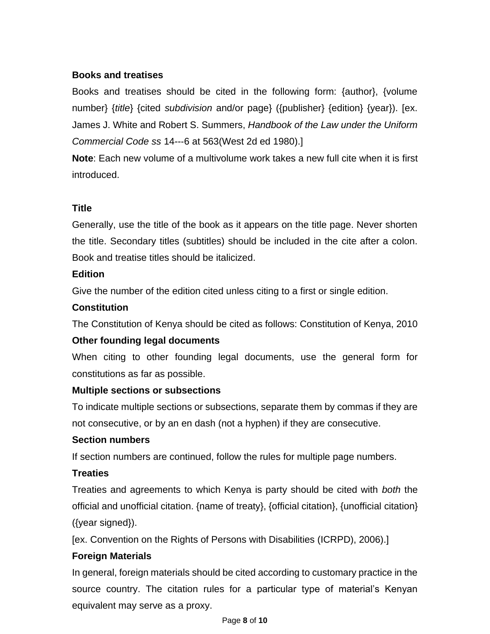# **Books and treatises**

Books and treatises should be cited in the following form: {author}, {volume number} {*title*} {cited *subdivision* and/or page} ({publisher} {edition} {year}). [ex. James J. White and Robert S. Summers, *Handbook of the Law under the Uniform Commercial Code ss* 14--‐6 at 563(West 2d ed 1980).]

**Note**: Each new volume of a multivolume work takes a new full cite when it is first introduced.

#### **Title**

Generally, use the title of the book as it appears on the title page. Never shorten the title. Secondary titles (subtitles) should be included in the cite after a colon. Book and treatise titles should be italicized.

#### **Edition**

Give the number of the edition cited unless citing to a first or single edition.

#### **Constitution**

The Constitution of Kenya should be cited as follows: Constitution of Kenya, 2010

#### **Other founding legal documents**

When citing to other founding legal documents, use the general form for constitutions as far as possible.

#### **Multiple sections or subsections**

To indicate multiple sections or subsections, separate them by commas if they are not consecutive, or by an en dash (not a hyphen) if they are consecutive.

#### **Section numbers**

If section numbers are continued, follow the rules for multiple page numbers.

#### **Treaties**

Treaties and agreements to which Kenya is party should be cited with *both* the official and unofficial citation. {name of treaty}, {official citation}, {unofficial citation} ({year signed}).

[ex. Convention on the Rights of Persons with Disabilities (ICRPD), 2006).]

# **Foreign Materials**

In general, foreign materials should be cited according to customary practice in the source country. The citation rules for a particular type of material's Kenyan equivalent may serve as a proxy.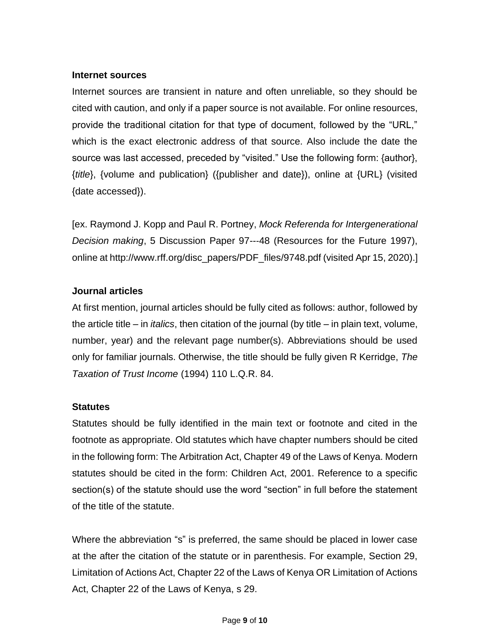#### **Internet sources**

Internet sources are transient in nature and often unreliable, so they should be cited with caution, and only if a paper source is not available. For online resources, provide the traditional citation for that type of document, followed by the "URL," which is the exact electronic address of that source. Also include the date the source was last accessed, preceded by "visited." Use the following form: {author}, {*title*}, {volume and publication} ({publisher and date}), online at {URL} (visited {date accessed}).

[ex. Raymond J. Kopp and Paul R. Portney, *Mock Referenda for Intergenerational Decision making*, 5 Discussion Paper 97--‐48 (Resources for the Future 1997), online at http://www.rff.org/disc\_papers/PDF\_files/9748.pdf (visited Apr 15, 2020).]

#### **Journal articles**

At first mention, journal articles should be fully cited as follows: author, followed by the article title – in *italics*, then citation of the journal (by title – in plain text, volume, number, year) and the relevant page number(s). Abbreviations should be used only for familiar journals. Otherwise, the title should be fully given R Kerridge, *The Taxation of Trust Income* (1994) 110 L.Q.R. 84.

#### **Statutes**

Statutes should be fully identified in the main text or footnote and cited in the footnote as appropriate. Old statutes which have chapter numbers should be cited in the following form: The Arbitration Act, Chapter 49 of the Laws of Kenya. Modern statutes should be cited in the form: Children Act, 2001. Reference to a specific section(s) of the statute should use the word "section" in full before the statement of the title of the statute.

Where the abbreviation "s" is preferred, the same should be placed in lower case at the after the citation of the statute or in parenthesis. For example, Section 29, Limitation of Actions Act, Chapter 22 of the Laws of Kenya OR Limitation of Actions Act, Chapter 22 of the Laws of Kenya, s 29.